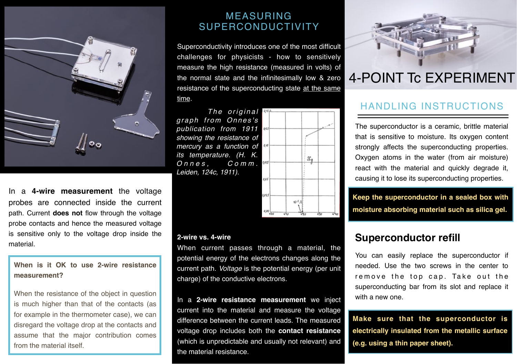

In a **4-wire measurement** the voltage probes are connected inside the current path. Current **does not** flow through the voltage probe contacts and hence the measured voltage is sensitive only to the voltage drop inside the material.

**When is it OK to use 2-wire resistance measurement?**

When the resistance of the object in question is much higher than that of the contacts (as for example in the thermometer case), we can disregard the voltage drop at the contacts and assume that the major contribution comes from the material itself.

#### MEASURING SUPERCONDUCTIVITY

Superconductivity introduces one of the most difficult challenges for physicists - how to sensitively measure the high resistance (measured in volts) of the normal state and the infinitesimally low & zero resistance of the superconducting state at the same time.

*The original graph from Onnes's publication from 1911 showing the resistance of mercury as a function of its temperature. (H. K. Onnes, C o m m . Leiden, 124c, 1911).*



#### **2-wire vs. 4-wire**

When current passes through a material, the potential energy of the electrons changes along the current path. *Voltage* is the potential energy (per unit charge) of the conductive electrons.

In a **2-wire resistance measurement** we inject current into the material and measure the voltage difference between the current leads. The measured voltage drop includes both the **contact resistance** (which is unpredictable and usually not relevant) and the material resistance.



# 4-POINT Tc EXPERIMENT

# HANDLING INSTRUCTIONS

The superconductor is a ceramic, brittle material that is sensitive to moisture. Its oxygen content strongly affects the superconducting properties. Oxygen atoms in the water (from air moisture) react with the material and quickly degrade it, causing it to lose its superconducting properties.

**Keep the superconductor in a sealed box with moisture absorbing material such as silica gel.**

### **Superconductor refill**

You can easily replace the superconductor if needed. Use the two screws in the center to remove the top cap. Take out the superconducting bar from its slot and replace it with a new one.

**Make sure that the superconductor is electrically insulated from the metallic surface (e.g. using a thin paper sheet).**